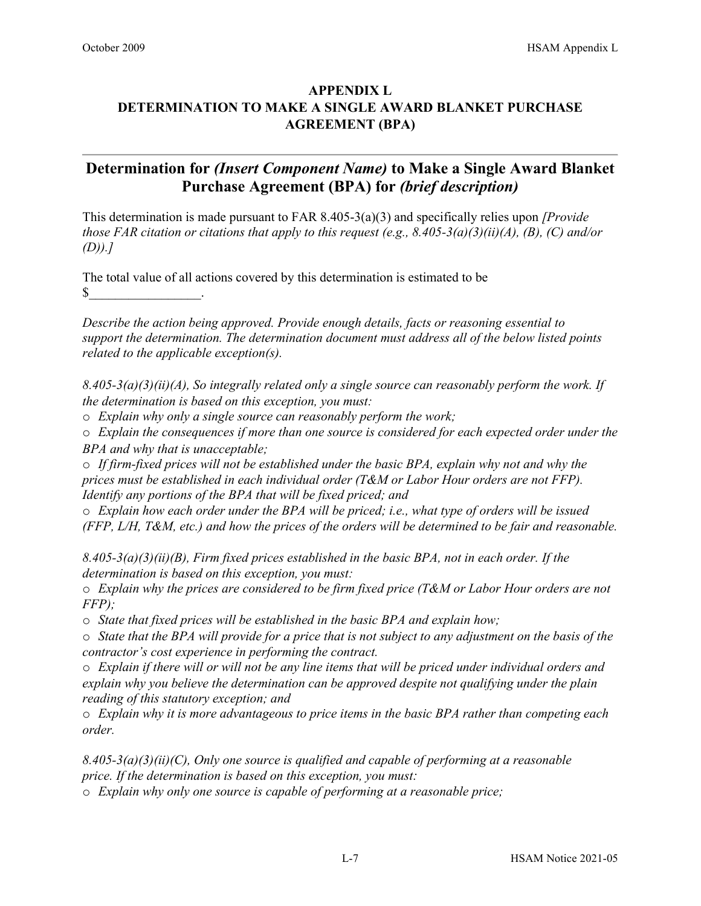## **APPENDIX L DETERMINATION TO MAKE A SINGLE AWARD BLANKET PURCHASE AGREEMENT (BPA)**

## **Determination for** *(Insert Component Name)* **to Make a Single Award Blanket Purchase Agreement (BPA) for** *(brief description)*

This determination is made pursuant to FAR 8.405-3(a)(3) and specifically relies upon *[Provide those FAR citation or citations that apply to this request (e.g., 8.405-3(a)(3)(ii)(A), (B), (C) and/or (D)).]* 

The total value of all actions covered by this determination is estimated to be  $\mathbb{S}$  .

*Describe the action being approved. Provide enough details, facts or reasoning essential to support the determination. The determination document must address all of the below listed points related to the applicable exception(s).* 

*8.405-3(a)(3)(ii)(A), So integrally related only a single source can reasonably perform the work. If the determination is based on this exception, you must:* 

o *Explain why only a single source can reasonably perform the work;* 

o *Explain the consequences if more than one source is considered for each expected order under the BPA and why that is unacceptable;* 

o *If firm-fixed prices will not be established under the basic BPA, explain why not and why the prices must be established in each individual order (T&M or Labor Hour orders are not FFP). Identify any portions of the BPA that will be fixed priced; and* 

o *Explain how each order under the BPA will be priced; i.e., what type of orders will be issued (FFP, L/H, T&M, etc.) and how the prices of the orders will be determined to be fair and reasonable.* 

*8.405-3(a)(3)(ii)(B), Firm fixed prices established in the basic BPA, not in each order. If the determination is based on this exception, you must:* 

o *Explain why the prices are considered to be firm fixed price (T&M or Labor Hour orders are not FFP);* 

o *State that fixed prices will be established in the basic BPA and explain how;* 

o *State that the BPA will provide for a price that is not subject to any adjustment on the basis of the contractor's cost experience in performing the contract.* 

o *Explain if there will or will not be any line items that will be priced under individual orders and explain why you believe the determination can be approved despite not qualifying under the plain reading of this statutory exception; and* 

o *Explain why it is more advantageous to price items in the basic BPA rather than competing each order.* 

*8.405-3(a)(3)(ii)(C), Only one source is qualified and capable of performing at a reasonable price. If the determination is based on this exception, you must:* 

o *Explain why only one source is capable of performing at a reasonable price;*